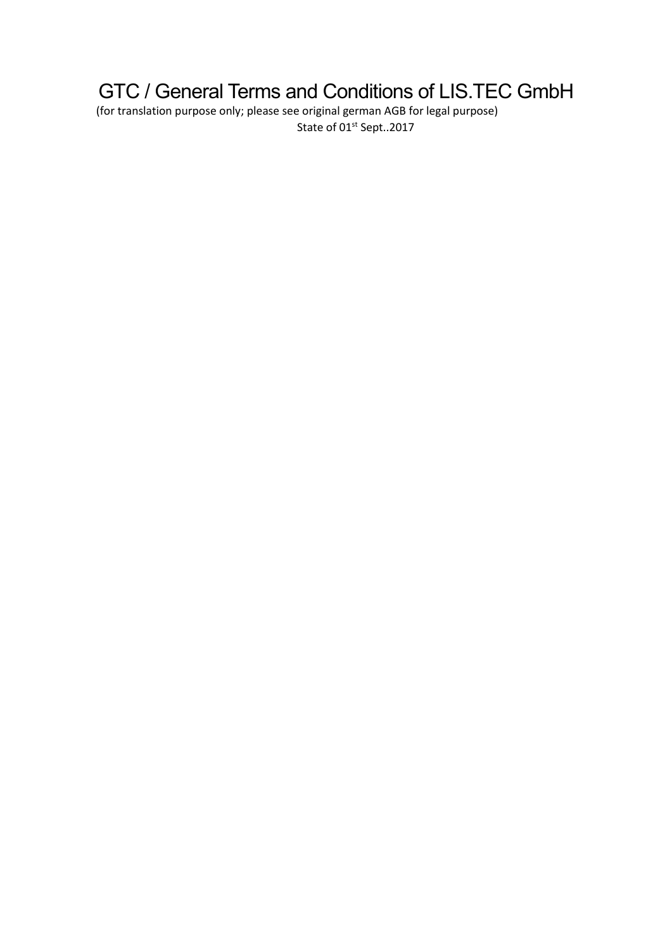# GTC / General Terms and Conditions of LIS.TEC GmbH

(for translation purpose only; please see original german AGB for legal purpose) State of 01<sup>st</sup> Sept..2017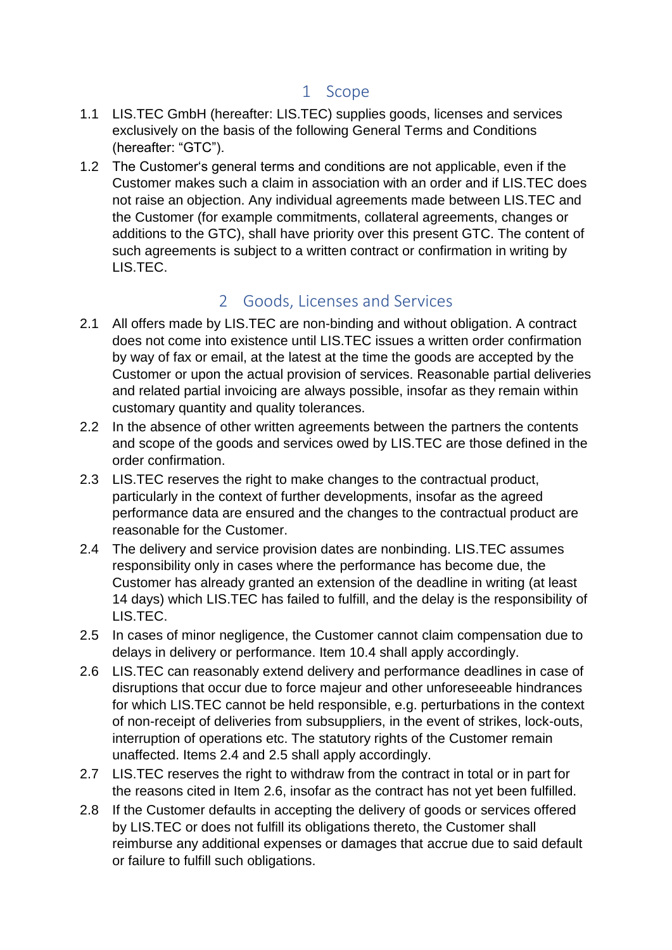#### 1 Scope

- 1.1 LIS.TEC GmbH (hereafter: LIS.TEC) supplies goods, licenses and services exclusively on the basis of the following General Terms and Conditions (hereafter: "GTC").
- 1.2 The Customer's general terms and conditions are not applicable, even if the Customer makes such a claim in association with an order and if LIS.TEC does not raise an objection. Any individual agreements made between LIS.TEC and the Customer (for example commitments, collateral agreements, changes or additions to the GTC), shall have priority over this present GTC. The content of such agreements is subject to a written contract or confirmation in writing by LIS.TEC.

### 2 Goods, Licenses and Services

- 2.1 All offers made by LIS.TEC are non-binding and without obligation. A contract does not come into existence until LIS.TEC issues a written order confirmation by way of fax or email, at the latest at the time the goods are accepted by the Customer or upon the actual provision of services. Reasonable partial deliveries and related partial invoicing are always possible, insofar as they remain within customary quantity and quality tolerances.
- 2.2 In the absence of other written agreements between the partners the contents and scope of the goods and services owed by LIS.TEC are those defined in the order confirmation.
- 2.3 LIS.TEC reserves the right to make changes to the contractual product, particularly in the context of further developments, insofar as the agreed performance data are ensured and the changes to the contractual product are reasonable for the Customer.
- 2.4 The delivery and service provision dates are nonbinding. LIS.TEC assumes responsibility only in cases where the performance has become due, the Customer has already granted an extension of the deadline in writing (at least 14 days) which LIS.TEC has failed to fulfill, and the delay is the responsibility of LIS.TEC.
- 2.5 In cases of minor negligence, the Customer cannot claim compensation due to delays in delivery or performance. Item 10.4 shall apply accordingly.
- 2.6 LIS.TEC can reasonably extend delivery and performance deadlines in case of disruptions that occur due to force majeur and other unforeseeable hindrances for which LIS.TEC cannot be held responsible, e.g. perturbations in the context of non-receipt of deliveries from subsuppliers, in the event of strikes, lock-outs, interruption of operations etc. The statutory rights of the Customer remain unaffected. Items 2.4 and 2.5 shall apply accordingly.
- 2.7 LIS.TEC reserves the right to withdraw from the contract in total or in part for the reasons cited in Item 2.6, insofar as the contract has not yet been fulfilled.
- 2.8 If the Customer defaults in accepting the delivery of goods or services offered by LIS.TEC or does not fulfill its obligations thereto, the Customer shall reimburse any additional expenses or damages that accrue due to said default or failure to fulfill such obligations.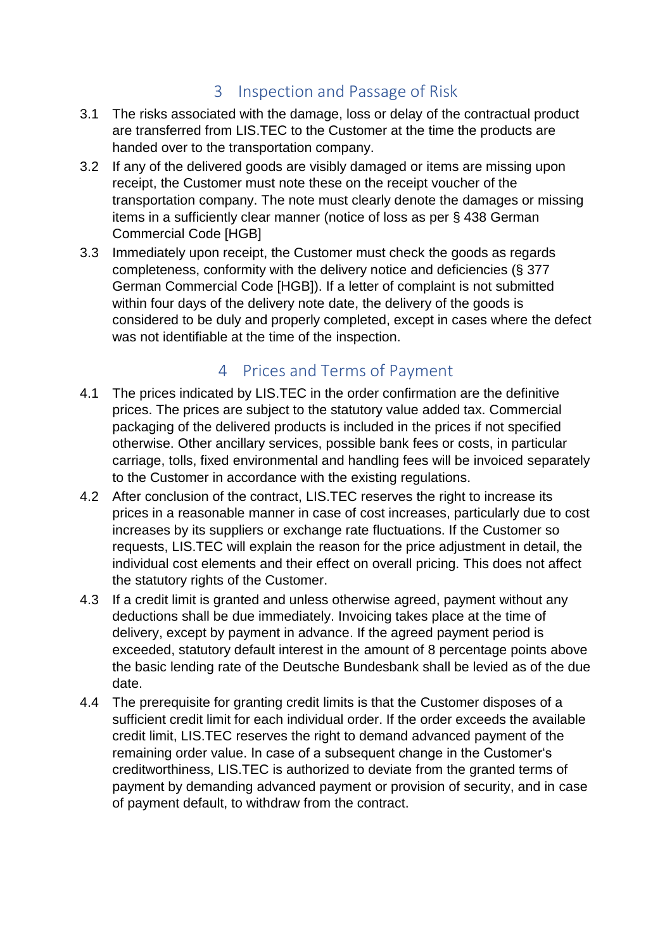#### 3 Inspection and Passage of Risk

- 3.1 The risks associated with the damage, loss or delay of the contractual product are transferred from LIS.TEC to the Customer at the time the products are handed over to the transportation company.
- 3.2 If any of the delivered goods are visibly damaged or items are missing upon receipt, the Customer must note these on the receipt voucher of the transportation company. The note must clearly denote the damages or missing items in a sufficiently clear manner (notice of loss as per § 438 German Commercial Code [HGB]
- 3.3 Immediately upon receipt, the Customer must check the goods as regards completeness, conformity with the delivery notice and deficiencies (§ 377 German Commercial Code [HGB]). If a letter of complaint is not submitted within four days of the delivery note date, the delivery of the goods is considered to be duly and properly completed, except in cases where the defect was not identifiable at the time of the inspection.

### 4 Prices and Terms of Payment

- 4.1 The prices indicated by LIS.TEC in the order confirmation are the definitive prices. The prices are subject to the statutory value added tax. Commercial packaging of the delivered products is included in the prices if not specified otherwise. Other ancillary services, possible bank fees or costs, in particular carriage, tolls, fixed environmental and handling fees will be invoiced separately to the Customer in accordance with the existing regulations.
- 4.2 After conclusion of the contract, LIS.TEC reserves the right to increase its prices in a reasonable manner in case of cost increases, particularly due to cost increases by its suppliers or exchange rate fluctuations. If the Customer so requests, LIS.TEC will explain the reason for the price adjustment in detail, the individual cost elements and their effect on overall pricing. This does not affect the statutory rights of the Customer.
- 4.3 If a credit limit is granted and unless otherwise agreed, payment without any deductions shall be due immediately. Invoicing takes place at the time of delivery, except by payment in advance. If the agreed payment period is exceeded, statutory default interest in the amount of 8 percentage points above the basic lending rate of the Deutsche Bundesbank shall be levied as of the due date.
- 4.4 The prerequisite for granting credit limits is that the Customer disposes of a sufficient credit limit for each individual order. If the order exceeds the available credit limit, LIS.TEC reserves the right to demand advanced payment of the remaining order value. In case of a subsequent change in the Customer's creditworthiness, LIS.TEC is authorized to deviate from the granted terms of payment by demanding advanced payment or provision of security, and in case of payment default, to withdraw from the contract.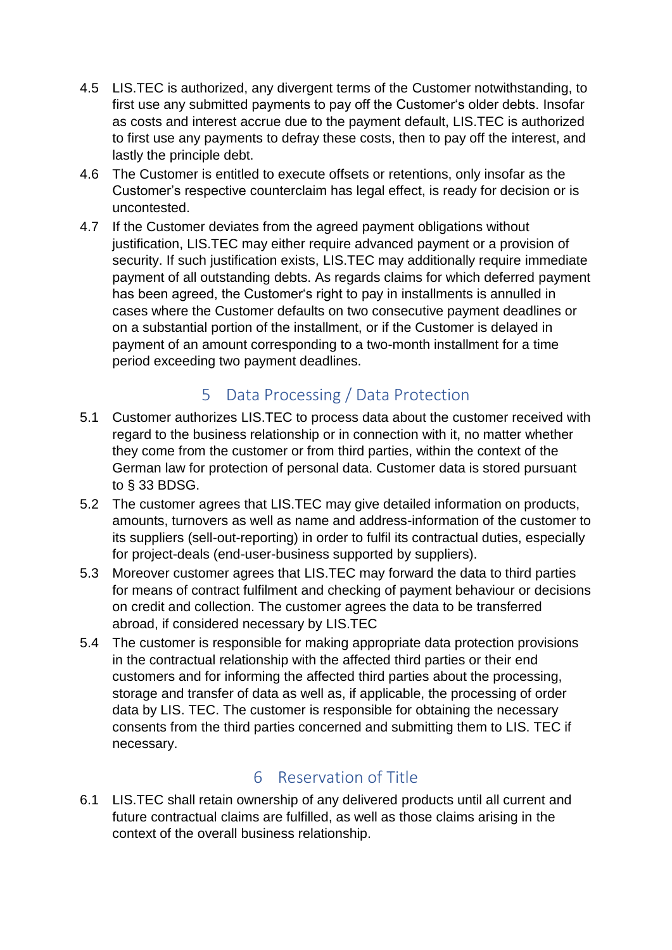- 4.5 LIS.TEC is authorized, any divergent terms of the Customer notwithstanding, to first use any submitted payments to pay off the Customer's older debts. Insofar as costs and interest accrue due to the payment default, LIS.TEC is authorized to first use any payments to defray these costs, then to pay off the interest, and lastly the principle debt.
- 4.6 The Customer is entitled to execute offsets or retentions, only insofar as the Customer's respective counterclaim has legal effect, is ready for decision or is uncontested.
- 4.7 If the Customer deviates from the agreed payment obligations without justification, LIS.TEC may either require advanced payment or a provision of security. If such justification exists, LIS.TEC may additionally require immediate payment of all outstanding debts. As regards claims for which deferred payment has been agreed, the Customer's right to pay in installments is annulled in cases where the Customer defaults on two consecutive payment deadlines or on a substantial portion of the installment, or if the Customer is delayed in payment of an amount corresponding to a two-month installment for a time period exceeding two payment deadlines.

### 5 Data Processing / Data Protection

- 5.1 Customer authorizes LIS.TEC to process data about the customer received with regard to the business relationship or in connection with it, no matter whether they come from the customer or from third parties, within the context of the German law for protection of personal data. Customer data is stored pursuant to § 33 BDSG.
- 5.2 The customer agrees that LIS.TEC may give detailed information on products, amounts, turnovers as well as name and address-information of the customer to its suppliers (sell-out-reporting) in order to fulfil its contractual duties, especially for project-deals (end-user-business supported by suppliers).
- 5.3 Moreover customer agrees that LIS.TEC may forward the data to third parties for means of contract fulfilment and checking of payment behaviour or decisions on credit and collection. The customer agrees the data to be transferred abroad, if considered necessary by LIS.TEC
- 5.4 The customer is responsible for making appropriate data protection provisions in the contractual relationship with the affected third parties or their end customers and for informing the affected third parties about the processing, storage and transfer of data as well as, if applicable, the processing of order data by LIS. TEC. The customer is responsible for obtaining the necessary consents from the third parties concerned and submitting them to LIS. TEC if necessary.

#### 6 Reservation of Title

6.1 LIS.TEC shall retain ownership of any delivered products until all current and future contractual claims are fulfilled, as well as those claims arising in the context of the overall business relationship.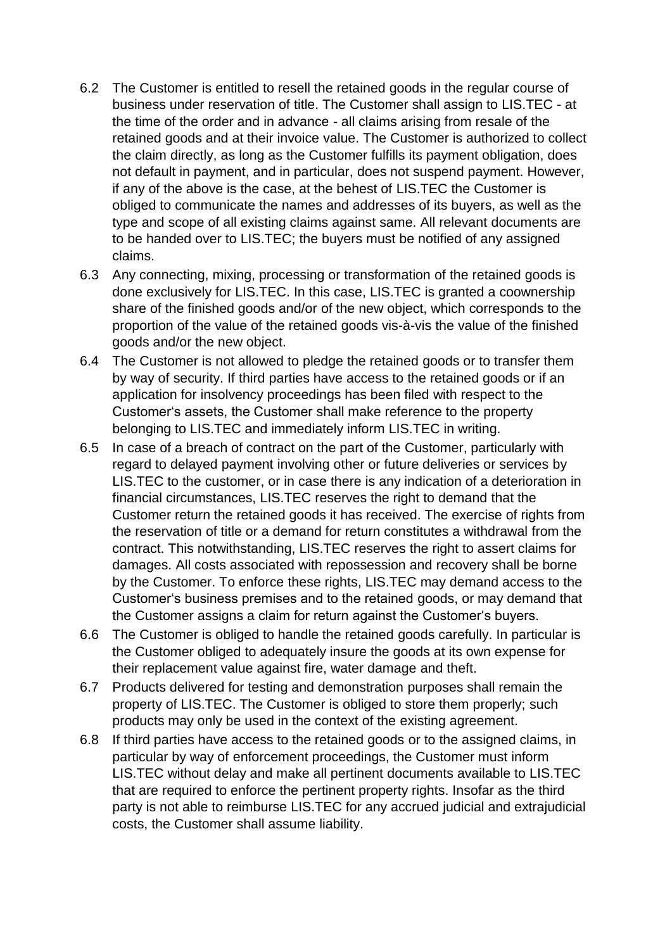- 6.2 The Customer is entitled to resell the retained goods in the regular course of business under reservation of title. The Customer shall assign to LIS.TEC - at the time of the order and in advance - all claims arising from resale of the retained goods and at their invoice value. The Customer is authorized to collect the claim directly, as long as the Customer fulfills its payment obligation, does not default in payment, and in particular, does not suspend payment. However, if any of the above is the case, at the behest of LIS.TEC the Customer is obliged to communicate the names and addresses of its buyers, as well as the type and scope of all existing claims against same. All relevant documents are to be handed over to LIS.TEC; the buyers must be notified of any assigned claims.
- 6.3 Any connecting, mixing, processing or transformation of the retained goods is done exclusively for LIS.TEC. In this case, LIS.TEC is granted a coownership share of the finished goods and/or of the new object, which corresponds to the proportion of the value of the retained goods vis-à-vis the value of the finished goods and/or the new object.
- 6.4 The Customer is not allowed to pledge the retained goods or to transfer them by way of security. If third parties have access to the retained goods or if an application for insolvency proceedings has been filed with respect to the Customer's assets, the Customer shall make reference to the property belonging to LIS.TEC and immediately inform LIS.TEC in writing.
- 6.5 In case of a breach of contract on the part of the Customer, particularly with regard to delayed payment involving other or future deliveries or services by LIS.TEC to the customer, or in case there is any indication of a deterioration in financial circumstances, LIS.TEC reserves the right to demand that the Customer return the retained goods it has received. The exercise of rights from the reservation of title or a demand for return constitutes a withdrawal from the contract. This notwithstanding, LIS.TEC reserves the right to assert claims for damages. All costs associated with repossession and recovery shall be borne by the Customer. To enforce these rights, LIS.TEC may demand access to the Customer's business premises and to the retained goods, or may demand that the Customer assigns a claim for return against the Customer's buyers.
- 6.6 The Customer is obliged to handle the retained goods carefully. In particular is the Customer obliged to adequately insure the goods at its own expense for their replacement value against fire, water damage and theft.
- 6.7 Products delivered for testing and demonstration purposes shall remain the property of LIS.TEC. The Customer is obliged to store them properly; such products may only be used in the context of the existing agreement.
- 6.8 If third parties have access to the retained goods or to the assigned claims, in particular by way of enforcement proceedings, the Customer must inform LIS.TEC without delay and make all pertinent documents available to LIS.TEC that are required to enforce the pertinent property rights. Insofar as the third party is not able to reimburse LIS.TEC for any accrued judicial and extrajudicial costs, the Customer shall assume liability.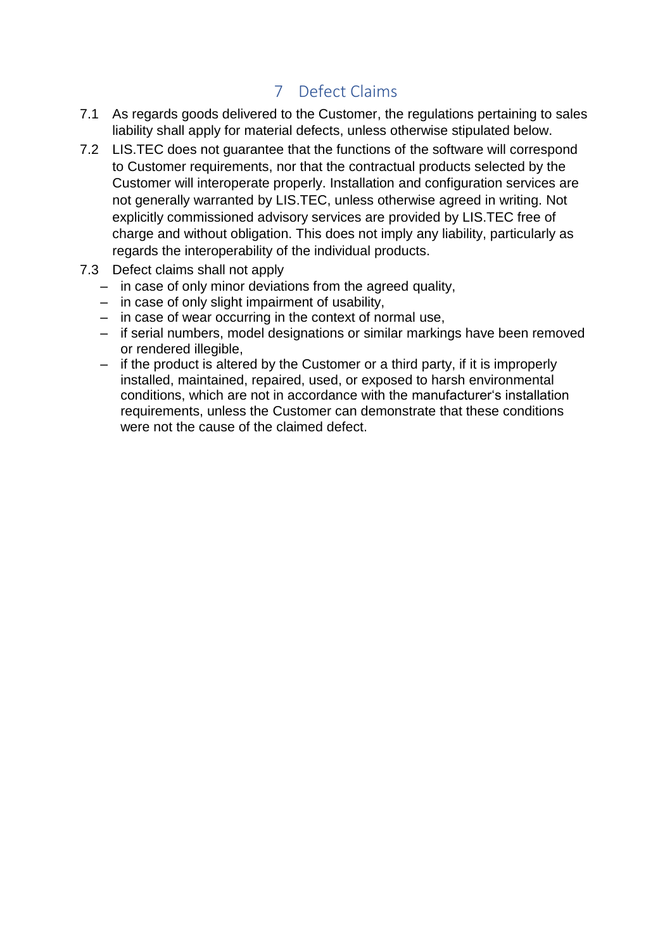### 7 Defect Claims

- 7.1 As regards goods delivered to the Customer, the regulations pertaining to sales liability shall apply for material defects, unless otherwise stipulated below.
- 7.2 LIS.TEC does not guarantee that the functions of the software will correspond to Customer requirements, nor that the contractual products selected by the Customer will interoperate properly. Installation and configuration services are not generally warranted by LIS.TEC, unless otherwise agreed in writing. Not explicitly commissioned advisory services are provided by LIS.TEC free of charge and without obligation. This does not imply any liability, particularly as regards the interoperability of the individual products.
- 7.3 Defect claims shall not apply
	- in case of only minor deviations from the agreed quality,
	- in case of only slight impairment of usability,
	- in case of wear occurring in the context of normal use,
	- if serial numbers, model designations or similar markings have been removed or rendered illegible,
	- if the product is altered by the Customer or a third party, if it is improperly installed, maintained, repaired, used, or exposed to harsh environmental conditions, which are not in accordance with the manufacturer's installation requirements, unless the Customer can demonstrate that these conditions were not the cause of the claimed defect.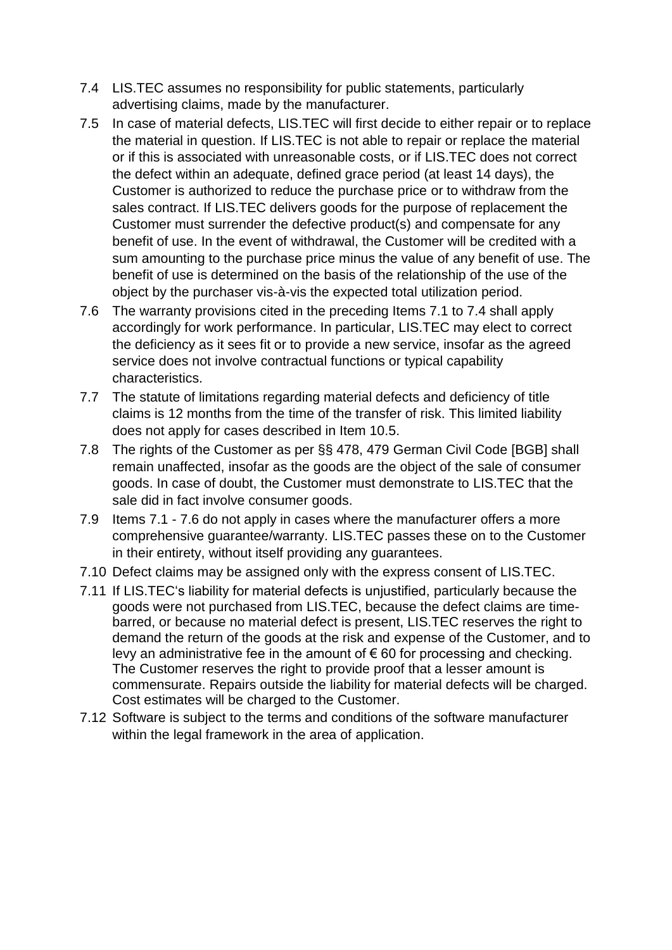- 7.4 LIS.TEC assumes no responsibility for public statements, particularly advertising claims, made by the manufacturer.
- 7.5 In case of material defects, LIS.TEC will first decide to either repair or to replace the material in question. If LIS.TEC is not able to repair or replace the material or if this is associated with unreasonable costs, or if LIS.TEC does not correct the defect within an adequate, defined grace period (at least 14 days), the Customer is authorized to reduce the purchase price or to withdraw from the sales contract. If LIS.TEC delivers goods for the purpose of replacement the Customer must surrender the defective product(s) and compensate for any benefit of use. In the event of withdrawal, the Customer will be credited with a sum amounting to the purchase price minus the value of any benefit of use. The benefit of use is determined on the basis of the relationship of the use of the object by the purchaser vis-à-vis the expected total utilization period.
- 7.6 The warranty provisions cited in the preceding Items 7.1 to 7.4 shall apply accordingly for work performance. In particular, LIS.TEC may elect to correct the deficiency as it sees fit or to provide a new service, insofar as the agreed service does not involve contractual functions or typical capability characteristics.
- 7.7 The statute of limitations regarding material defects and deficiency of title claims is 12 months from the time of the transfer of risk. This limited liability does not apply for cases described in Item 10.5.
- 7.8 The rights of the Customer as per §§ 478, 479 German Civil Code [BGB] shall remain unaffected, insofar as the goods are the object of the sale of consumer goods. In case of doubt, the Customer must demonstrate to LIS.TEC that the sale did in fact involve consumer goods.
- 7.9 Items 7.1 7.6 do not apply in cases where the manufacturer offers a more comprehensive guarantee/warranty. LIS.TEC passes these on to the Customer in their entirety, without itself providing any guarantees.
- 7.10 Defect claims may be assigned only with the express consent of LIS.TEC.
- 7.11 If LIS.TEC's liability for material defects is unjustified, particularly because the goods were not purchased from LIS.TEC, because the defect claims are timebarred, or because no material defect is present, LIS.TEC reserves the right to demand the return of the goods at the risk and expense of the Customer, and to levy an administrative fee in the amount of  $\epsilon$  60 for processing and checking. The Customer reserves the right to provide proof that a lesser amount is commensurate. Repairs outside the liability for material defects will be charged. Cost estimates will be charged to the Customer.
- 7.12 Software is subject to the terms and conditions of the software manufacturer within the legal framework in the area of application.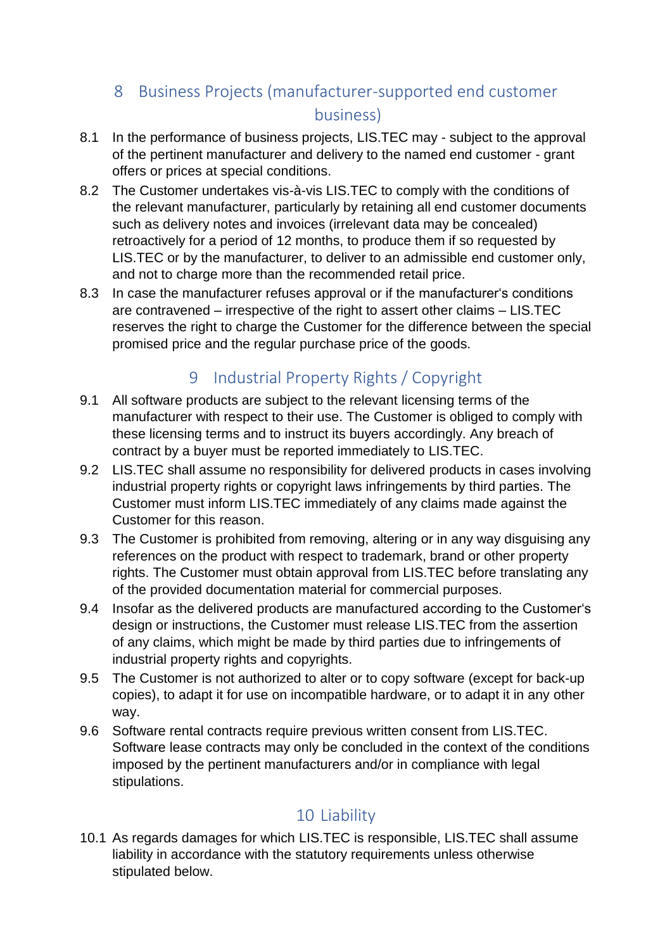# 8 Business Projects (manufacturer-supported end customer business)

- 8.1 In the performance of business projects, LIS.TEC may subject to the approval of the pertinent manufacturer and delivery to the named end customer - grant offers or prices at special conditions.
- 8.2 The Customer undertakes vis-à-vis LIS.TEC to comply with the conditions of the relevant manufacturer, particularly by retaining all end customer documents such as delivery notes and invoices (irrelevant data may be concealed) retroactively for a period of 12 months, to produce them if so requested by LIS.TEC or by the manufacturer, to deliver to an admissible end customer only, and not to charge more than the recommended retail price.
- 8.3 In case the manufacturer refuses approval or if the manufacturer's conditions are contravened – irrespective of the right to assert other claims – LIS.TEC reserves the right to charge the Customer for the difference between the special promised price and the regular purchase price of the goods.

## 9 Industrial Property Rights / Copyright

- 9.1 All software products are subject to the relevant licensing terms of the manufacturer with respect to their use. The Customer is obliged to comply with these licensing terms and to instruct its buyers accordingly. Any breach of contract by a buyer must be reported immediately to LIS.TEC.
- 9.2 LIS.TEC shall assume no responsibility for delivered products in cases involving industrial property rights or copyright laws infringements by third parties. The Customer must inform LIS.TEC immediately of any claims made against the Customer for this reason.
- 9.3 The Customer is prohibited from removing, altering or in any way disguising any references on the product with respect to trademark, brand or other property rights. The Customer must obtain approval from LIS.TEC before translating any of the provided documentation material for commercial purposes.
- 9.4 Insofar as the delivered products are manufactured according to the Customer's design or instructions, the Customer must release LIS.TEC from the assertion of any claims, which might be made by third parties due to infringements of industrial property rights and copyrights.
- 9.5 The Customer is not authorized to alter or to copy software (except for back-up copies), to adapt it for use on incompatible hardware, or to adapt it in any other way.
- 9.6 Software rental contracts require previous written consent from LIS.TEC. Software lease contracts may only be concluded in the context of the conditions imposed by the pertinent manufacturers and/or in compliance with legal stipulations.

# 10 Liability

10.1 As regards damages for which LIS.TEC is responsible, LIS.TEC shall assume liability in accordance with the statutory requirements unless otherwise stipulated below.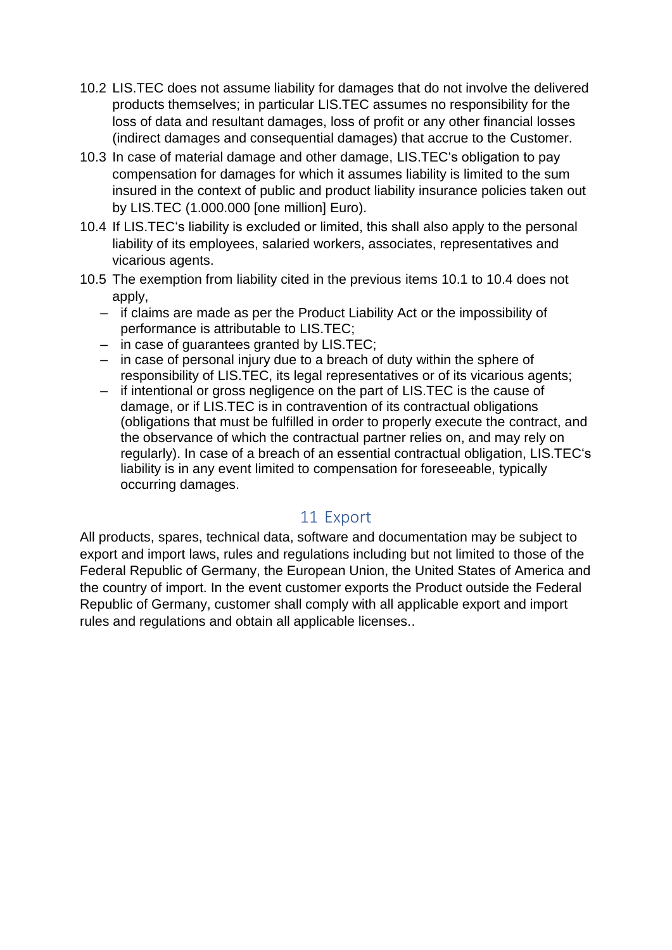- 10.2 LIS.TEC does not assume liability for damages that do not involve the delivered products themselves; in particular LIS.TEC assumes no responsibility for the loss of data and resultant damages, loss of profit or any other financial losses (indirect damages and consequential damages) that accrue to the Customer.
- 10.3 In case of material damage and other damage, LIS.TEC's obligation to pay compensation for damages for which it assumes liability is limited to the sum insured in the context of public and product liability insurance policies taken out by LIS.TEC (1.000.000 [one million] Euro).
- 10.4 If LIS.TEC's liability is excluded or limited, this shall also apply to the personal liability of its employees, salaried workers, associates, representatives and vicarious agents.
- 10.5 The exemption from liability cited in the previous items 10.1 to 10.4 does not apply,
	- if claims are made as per the Product Liability Act or the impossibility of performance is attributable to LIS.TEC;
	- in case of guarantees granted by LIS.TEC;
	- in case of personal injury due to a breach of duty within the sphere of responsibility of LIS.TEC, its legal representatives or of its vicarious agents;
	- if intentional or gross negligence on the part of LIS.TEC is the cause of damage, or if LIS.TEC is in contravention of its contractual obligations (obligations that must be fulfilled in order to properly execute the contract, and the observance of which the contractual partner relies on, and may rely on regularly). In case of a breach of an essential contractual obligation, LIS.TEC's liability is in any event limited to compensation for foreseeable, typically occurring damages.

#### 11 Export

All products, spares, technical data, software and documentation may be subject to export and import laws, rules and regulations including but not limited to those of the Federal Republic of Germany, the European Union, the United States of America and the country of import. In the event customer exports the Product outside the Federal Republic of Germany, customer shall comply with all applicable export and import rules and regulations and obtain all applicable licenses..